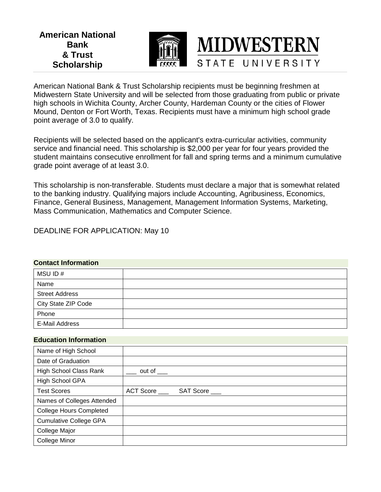**American National Bank & Trust Scholarship**



American National Bank & Trust Scholarship recipients must be beginning freshmen at Midwestern State University and will be selected from those graduating from public or private high schools in Wichita County, Archer County, Hardeman County or the cities of Flower Mound, Denton or Fort Worth, Texas. Recipients must have a minimum high school grade point average of 3.0 to qualify.

**MIDWESTERN** 

STATE UNIVERSITY

Recipients will be selected based on the applicant's extra-curricular activities, community service and financial need. This scholarship is \$2,000 per year for four years provided the student maintains consecutive enrollment for fall and spring terms and a minimum cumulative grade point average of at least 3.0.

This scholarship is non-transferable. Students must declare a major that is somewhat related to the banking industry. Qualifying majors include Accounting, Agribusiness, Economics, Finance, General Business, Management, Management Information Systems, Marketing, Mass Communication, Mathematics and Computer Science.

DEADLINE FOR APPLICATION: May 10

### **Contact Information**

| MSU ID#               |  |
|-----------------------|--|
| Name                  |  |
| <b>Street Address</b> |  |
| City State ZIP Code   |  |
| Phone                 |  |
| E-Mail Address        |  |

### **Education Information**

| Name of High School            |                        |
|--------------------------------|------------------------|
| Date of Graduation             |                        |
| <b>High School Class Rank</b>  | out of $\_\_$          |
| High School GPA                |                        |
| <b>Test Scores</b>             | ACT Score<br>SAT Score |
| Names of Colleges Attended     |                        |
| <b>College Hours Completed</b> |                        |
| <b>Cumulative College GPA</b>  |                        |
| College Major                  |                        |
| College Minor                  |                        |